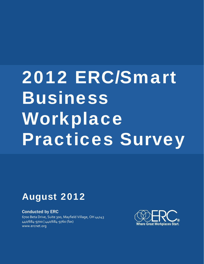# 2012 ERC/Smart Business Workplace Practices Survey

## August 2012

#### Conducted by ERC

6700 Beta Drive, Suite 300, Mayfield Village, OH 44143 440/684‐9700 | 440/684‐9760 (fax) www.ercnet.org

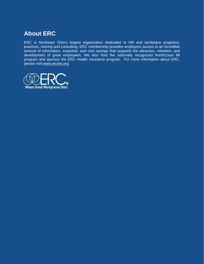## **About ERC**

ERC is Northeast Ohio's largest organization dedicated to HR and workplace programs, practices, training and consulting. ERC membership provides employers access to an incredible amount of information, expertise, and cost savings that supports the attraction, retention, and development of great employees. We also host the nationally recognized NorthCoast 99 program and sponsor the ERC Health insurance program. For more information about ERC, please visit [www.ercnet.org.](http://www.ercnet.org/)

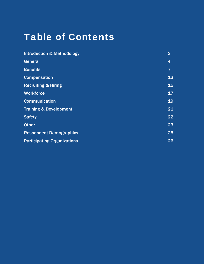## Table of Contents

| <b>Introduction &amp; Methodology</b> | 3              |
|---------------------------------------|----------------|
| General                               | 4              |
| <b>Benefits</b>                       | $\overline{7}$ |
| <b>Compensation</b>                   | 13             |
| <b>Recruiting &amp; Hiring</b>        | 15             |
| <b>Workforce</b>                      | 17             |
| <b>Communication</b>                  | 19             |
| <b>Training &amp; Development</b>     | 21             |
| <b>Safety</b>                         | 22             |
| <b>Other</b>                          | 23             |
| <b>Respondent Demographics</b>        | 25             |
| <b>Participating Organizations</b>    | 26             |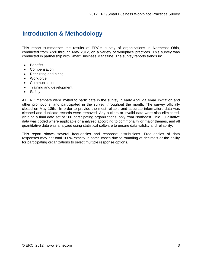## **Introduction & Methodology**

This report summarizes the results of ERC's survey of organizations in Northeast Ohio, conducted from April through May 2012, on a variety of workplace practices. This survey was conducted in partnership with Smart Business Magazine. The survey reports trends in:

- Benefits
- Compensation
- Recruiting and hiring
- Workforce
- Communication
- Training and development
- Safety

All ERC members were invited to participate in the survey in early April via email invitation and other promotions, and participated in the survey throughout the month. The survey officially closed on May 18th. In order to provide the most reliable and accurate information, data was cleaned and duplicate records were removed. Any outliers or invalid data were also eliminated, yielding a final data set of 100 participating organizations, only from Northeast Ohio. Qualitative data was coded where applicable or analyzed according to commonality or major themes, and all quantitative data was analyzed using statistical software to ensure data validity and reliability.

This report shows several frequencies and response distributions. Frequencies of data responses may not total 100% exactly in some cases due to rounding of decimals or the ability for participating organizations to select multiple response options.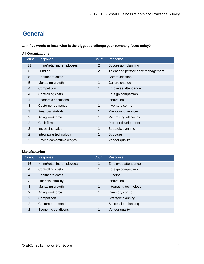## **General**

**1. In five words or less, what is the biggest challenge your company faces today?** 

#### **All Organizations**

| Count          | Response                   | Count          | Response                          |
|----------------|----------------------------|----------------|-----------------------------------|
| 33             | Hiring/retaining employees | $\overline{2}$ | Succession planning               |
| 6              | Funding                    | $\overline{2}$ | Talent and performance management |
| 5              | Healthcare costs           | 1              | Communication                     |
| 5              | Managing growth            | 1              | Culture change                    |
| 4              | Competition                | $\mathbf 1$    | Employee attendance               |
| 4              | Controlling costs          | 1              | Foreign competition               |
| 4              | Economic conditions        | 1              | Innovation                        |
| 3              | Customer demands           | 1              | Inventory control                 |
| 3              | Financial stability        | $\mathbf 1$    | Maintaining services              |
| $\overline{2}$ | Aging workforce            | 1              | Maximizing efficiency             |
| 2              | Cash flow                  | 1              | Product development               |
| $\overline{2}$ | Increasing sales           | 1              | Strategic planning                |
| 2              | Integrating technology     | $\mathbf 1$    | <b>Structure</b>                  |
| 2              | Paying competitive wages   | $\mathbf 1$    | Vendor quality                    |

#### **Manufacturing**

| Count | Response                   | Count        | Response               |
|-------|----------------------------|--------------|------------------------|
| 16    | Hiring/retaining employees | $\mathbf 1$  | Employee attendance    |
| 4     | Controlling costs          | $\mathbf{1}$ | Foreign competition    |
| 4     | Healthcare costs           | 1            | Funding                |
| 3     | Financial stability        | $\mathbf 1$  | Innovation             |
| 3     | Managing growth            | 1            | Integrating technology |
| 2     | Aging workforce            | $\mathbf{1}$ | Inventory control      |
| 2     | Competition                | $\mathbf{1}$ | Strategic planning     |
| 2     | Customer demands           | $\mathbf{1}$ | Succession planning    |
| 1     | Economic conditions        | 1            | Vendor quality         |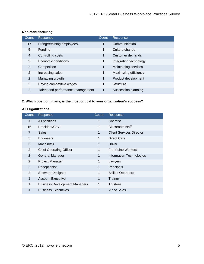#### **Non-Manufacturing**

| Count          | Response                          | Count | Response               |
|----------------|-----------------------------------|-------|------------------------|
| 17             | Hiring/retaining employees        | 1     | Communication          |
| 5              | Funding                           | 1     | Culture change         |
| 4              | Controlling costs                 | 1     | Customer demands       |
| 3              | Economic conditions               | 1     | Integrating technology |
| $\overline{2}$ | Competition                       | 1     | Maintaining services   |
| 2              | Increasing sales                  | 1     | Maximizing efficiency  |
| 2              | Managing growth                   | 1     | Product development    |
| $\overline{2}$ | Paying competitive wages          | 1     | Structure              |
| $\overline{2}$ | Talent and performance management | 1     | Succession planning    |

#### **2. Which position, if any, is the most critical to your organization's success?**

#### **All Organizations**

| Count          | Response                             | Count | Response                        |
|----------------|--------------------------------------|-------|---------------------------------|
| 20             | All positions                        | 1     | Chemist                         |
| 16             | President/CEO                        | 1     | Classroom staff                 |
| $\overline{7}$ | <b>Sales</b>                         | 1     | <b>Client Services Director</b> |
| 5              | Engineers                            | 1     | Direct Care                     |
| 3              | <b>Machinists</b>                    | 1     | <b>Driver</b>                   |
| $\overline{2}$ | <b>Chief Operating Officer</b>       | 1     | <b>Front-Line Workers</b>       |
| $\overline{2}$ | General Manager                      | 1     | Information Technologies        |
| $\overline{2}$ | Project Manager                      | 1     | Lawyers                         |
| $\overline{2}$ | Receptionist                         | 1     | Principals                      |
| 2              | Software Designer                    | 1     | <b>Skilled Operators</b>        |
| $\mathbf 1$    | <b>Account Executive</b>             | 1     | Trainer                         |
| 1              | <b>Business Development Managers</b> | 1     | <b>Trustees</b>                 |
| 1              | <b>Business Executives</b>           | 1     | VP of Sales                     |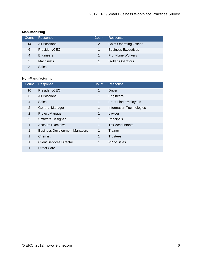#### **Manufacturing**

| Count          | Response             | Count | Response                       |
|----------------|----------------------|-------|--------------------------------|
| 14             | <b>All Positions</b> | 2     | <b>Chief Operating Officer</b> |
| 6              | President/CEO        |       | <b>Business Executives</b>     |
| $\overline{4}$ | Engineers            |       | <b>Front-Line Workers</b>      |
| 3              | <b>Machinists</b>    |       | <b>Skilled Operators</b>       |
| 3              | <b>Sales</b>         |       |                                |

#### **Non-Manufacturing**

| Count           | Response                             | Count                | Response                    |
|-----------------|--------------------------------------|----------------------|-----------------------------|
| 10 <sup>1</sup> | President/CEO                        | $\overline{1}$       | <b>Driver</b>               |
| 6               | <b>All Positions</b>                 | 1                    | Engineers                   |
| 4               | <b>Sales</b>                         | 1                    | <b>Front-Line Employees</b> |
| 2               | General Manager                      | $\mathbf{1}$         | Information Technologies    |
| 2               | Project Manager                      | $\blacksquare$       | Lawyer                      |
| 2               | Software Designer                    | 1                    | Principals                  |
| $\mathbf{1}$    | <b>Account Executive</b>             | $\blacktriangleleft$ | <b>Tax Accountants</b>      |
| $\mathbf{1}$    | <b>Business Development Managers</b> | $\mathbf{1}$         | Trainer                     |
| 1               | Chemist                              | 1                    | <b>Trustees</b>             |
| 1               | <b>Client Services Director</b>      | 1                    | VP of Sales                 |
|                 | Direct Care                          |                      |                             |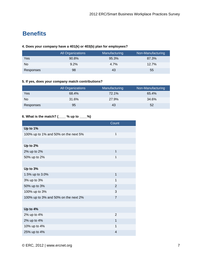## **Benefits**

#### **4. Does your company have a 401(k) or 403(b) plan for employees?**

|           | All Organizations | Manufacturing | Non-Manufacturing |
|-----------|-------------------|---------------|-------------------|
| Yes       | 90.8%             | 95.3%         | 87.3%             |
| No.       | 9.2%              | 4.7%          | 12.7%             |
| Responses | 98                | 43            | 55                |

#### **5. If yes, does your company match contributions?**

|           | All Organizations | Manufacturing | Non-Manufacturing |
|-----------|-------------------|---------------|-------------------|
| Yes       | 68.4%             | 72.1%         | 65.4%             |
| No        | 31.6%             | 27.9%         | 34.6%             |
| Responses | 95                | 43            | 52                |

#### **6. What is the match? (\_\_\_\_ % up to \_\_\_\_%)**

|                                      | Count          |
|--------------------------------------|----------------|
| Up to 1%                             |                |
| 100% up to 1% and 50% on the next 5% | $\mathbf{1}$   |
|                                      |                |
| Up to 2%                             |                |
| 2% up to 2%                          | $\mathbf{1}$   |
| 50% up to 2%                         | $\mathbf{1}$   |
|                                      |                |
| Up to 3%                             |                |
| 1.5% up to 3.0%                      | 1              |
| 3% up to 3%                          | 1              |
| 50% up to 3%                         | $\overline{2}$ |
| 100% up to 3%                        | 3              |
| 100% up to 3% and 50% on the next 2% | $\overline{7}$ |
|                                      |                |
| Up to 4%                             |                |
| 2% up to 4%                          | $\overline{2}$ |
| 2% up to 4%                          | $\mathbf{1}$   |
| 10% up to 4%                         | $\mathbf{1}$   |
| 25% up to 4%                         | 4              |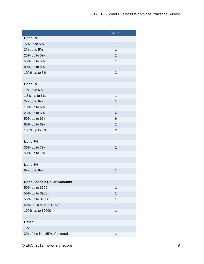|                                      | Count          |
|--------------------------------------|----------------|
| Up to 5%                             |                |
| .5% up to 5%                         | $\mathbf 1$    |
| 2% up to 5%                          | 1              |
| 25% up to 5%                         | $\mathbf{1}$   |
| 50% up to 5%                         | $\mathbf{1}$   |
| 80% up to 5%                         | $\mathbf{1}$   |
| 100% up to 5%                        | $\overline{2}$ |
|                                      |                |
| Up to 6%                             |                |
| 1% up to 6%                          | $\mathbf 1$    |
| 1.5% up to 6%                        | 1              |
| 2% up to 6%                          | $\mathbf{1}$   |
| 10% up to 6%                         | 1              |
| 25% up to 6%                         | $\overline{4}$ |
| 50% up to 6%                         | 6              |
| 80% up to 6%                         | 1              |
| 100% up to 6%                        | $\overline{2}$ |
|                                      |                |
| Up to 7%                             |                |
| 30% up to 7%                         | $\mathbf{1}$   |
| 50% up to 7%                         | $\mathbf{1}$   |
|                                      |                |
| Up to 8%                             |                |
| 6% up to 8%                          | 1              |
|                                      |                |
| <b>Up to Specific Dollar Amounts</b> |                |
| 50% up to \$600                      | $\mathbf{1}$   |
| 50% up to \$900                      | $\mathbf{1}$   |
| 50% up to \$1000                     | 1              |
| 50% of 10% up to \$1500              | $\mathbf{1}$   |
| 100% up to \$2000                    | $\mathbf{1}$   |
|                                      |                |
| Other                                |                |
| 1%                                   | $\mathbf{1}$   |
| 3% of the first 25% of deferrals     | $\mathbf 1$    |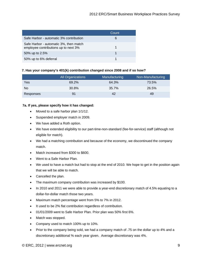|                                                                                | Count |
|--------------------------------------------------------------------------------|-------|
| Safe Harbor - automatic 3% contribution                                        | 6     |
| Safe Harbor - automatic 3%, then match<br>employee contributions up to next 3% |       |
| 50% up to 2.5%                                                                 |       |
| 50% up to 6% deferral                                                          |       |

#### **7. Has your company's 401(k) contribution changed since 2008 and if so how?**

|           | <b>All Organizations</b> | Manufacturing | Non-Manufacturing |
|-----------|--------------------------|---------------|-------------------|
| Yes       | 69.2%                    | 64.3%         | 73.5%             |
| No        | 30.8%                    | 35.7%         | 26.5%             |
| Responses | 91                       | 42            | 49                |

#### **7a. If yes, please specify how it has changed:**

- Moved to a safe harbor plan 1/1/12.
- Suspended employer match in 2009.
- We have added a Roth option.
- We have extended eligibility to our part-time-non-standard (fee-for-service) staff (although not eligible for match).
- We had a matching contribution and because of the economy, we discontinued the company match.
- Match increased from \$300 to \$600.
- Went to a Safe Harbor Plan.
- We used to have a match but had to stop at the end of 2010. We hope to get in the position again that we will be able to match.
- Cancelled the plan.
- The maximum company contribution was increased by \$100.
- In 2010 and 2011 we were able to provide a year-end discretionary match of 4.5% equating to a dollar-for-dollar match those two years.
- Maximum match percentage went from 5% to 7% in 2012.
- It used to be 2% flat contribution regardless of contribution.
- 01/01/2009 went to Safe Harbor Plan. Prior plan was 50% first 6%.
- Match was stopped.
- Company used to match 100% up to 10%.
- Prior to the company being sold, we had a company match of .75 on the dollar up to 4% and a discretionary additional % each year given. Average discretionary was 4%.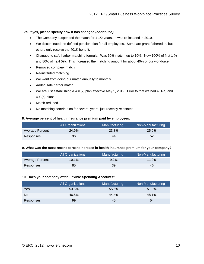#### **7a. If yes, please specify how it has changed** *(continued)*

- The Company suspended the match for 1 1/2 years. It was re-instated in 2010.
- We discontinued the defined pension plan for all employees. Some are grandfathered in, but others only receive the 401K benefit.
- Changed to safe harbor matching formula. Was 50% match, up to 10%. Now 100% of first 1 % and 80% of next 5%. This increased the matching amount for about 40% of our workforce.
- Removed company match.
- Re-instituted matching.
- We went from doing our match annually to monthly.
- Added safe harbor match.
- We are just establishing a 401(k) plan effective May 1, 2012. Prior to that we had 401(a) and 403(b) plans.
- Match reduced.
- No matching contribution for several years; just recently reinstated.

#### **8. Average percent of health insurance premium paid by employees:**

|                 | All Organizations | Manufacturing | Non-Manufacturing |
|-----------------|-------------------|---------------|-------------------|
| Average Percent | 24.9%             | 23.8%         | 25.9%             |
| Responses       | 96                | 44            | 52                |

#### **9. What was the most recent percent increase in health insurance premium for your company?**

|                 | <b>All Organizations</b> | Manufacturing | Non-Manufacturing |
|-----------------|--------------------------|---------------|-------------------|
| Average Percent | 10.1%                    | $9.2\%$       | $11.0\%$          |
| Responses       | 85                       | 39            | 46                |

#### **10. Does your company offer Flexible Spending Accounts?**

|           | <b>All Organizations</b> | Manufacturing | Non-Manufacturing |
|-----------|--------------------------|---------------|-------------------|
| Yes       | 53.5%                    | 55.6%         | 51.9%             |
| No        | 46.5%                    | 44.4%         | 48.1%             |
| Responses | 99                       | 45            | 54                |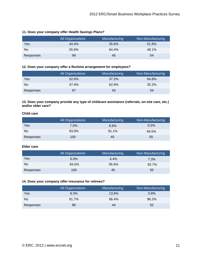|           | All Organizations | Manufacturing | Non-Manufacturing |
|-----------|-------------------|---------------|-------------------|
| Yes       | 44.4%             | 35.6%         | 51.9%             |
| No.       | 55.6%             | 64.4%         | 48.1%             |
| Responses | 99                | 45            | 54                |

#### **11. Does your company offer Health Savings Plans?**

#### **12. Does your company offer a flextime arrangement for employees?**

|           | <b>All Organizations</b> | Manufacturing | Non-Manufacturing |
|-----------|--------------------------|---------------|-------------------|
| Yes       | 52.6%                    | 37.2%         | 64.8%             |
| No        | 47.4%                    | 62.8%         | 35.2%             |
| Responses | 97                       | 43            | 54                |

#### **13. Does your company provide any type of childcare assistance (referrals, on-site care, etc.) and/or elder care?**

#### **Child care**

|           | <b>All Organizations</b> | Manufacturing | Non-Manufacturing |
|-----------|--------------------------|---------------|-------------------|
| Yes       | $7.0\%$                  | 8.9%          | 5.5%              |
| No        | 93.0%                    | 91.1%         | 94.5%             |
| Responses | 100                      | 45            | 55                |

#### **Elder care**

|           | All Organizations | Manufacturing | Non-Manufacturing |
|-----------|-------------------|---------------|-------------------|
| Yes       | 6.0%              | 4.4%          | $7.3\%$           |
| No.       | 94.0%             | 95.6%         | 92.7%             |
| Responses | 100               | 45            | 55                |

#### **14. Does your company offer insurance for retirees?**

|           | All Organizations | Manufacturing | Non-Manufacturing |
|-----------|-------------------|---------------|-------------------|
| Yes       | 8.3%              | 13.6%         | 3.8%              |
| No.       | 91.7%             | 86.4%         | 96.2%             |
| Responses | 96                | 44            | 52                |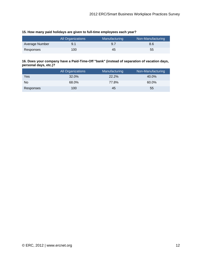|                | <b>All Organizations</b> | Manufacturing | Non-Manufacturing |
|----------------|--------------------------|---------------|-------------------|
| Average Number | 9.1                      | 9.7           | 8.6               |
| Responses      | 100                      | 45            | 55                |

#### **16. Does your company have a Paid-Time-Off "bank" (instead of separation of vacation days, personal days, etc.)?**

|           | All Organizations | Manufacturing | Non-Manufacturing |
|-----------|-------------------|---------------|-------------------|
| Yes       | 32.0%             | 22.2%         | 40.0%             |
| No.       | 68.0%             | 77.8%         | 60.0%             |
| Responses | 100               | 45            | 55                |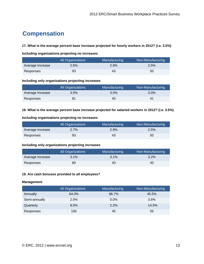## **Compensation**

#### **17. What is the average percent base increase projected for hourly workers in 2012? (i.e. 3.5%)**

#### **Including organizations projecting no increases**

|                  | All Organizations | Manufacturing | Non-Manufacturing |
|------------------|-------------------|---------------|-------------------|
| Average Increase | $2.6\%$           | $2.8\%$       | 2.5%              |
| Responses        | 93                | 43            | 50                |

#### **Including only organizations projecting increases**

|                  | All Organizations | Manufacturing | Non-Manufacturing |
|------------------|-------------------|---------------|-------------------|
| Average Increase | $3.0\%$           | $3.0\%$       | $3.0\%$           |
| Responses        | 81                | 40            | 41                |

#### **18. What is the average percent base increase projected for salaried workers in 2012? (i.e. 3.5%)**

#### **Including organizations projecting no increases**

|                  | All Organizations | Manufacturing | Non-Manufacturing |
|------------------|-------------------|---------------|-------------------|
| Average Increase | 2.7%              | 2.9%          | 2.5%              |
| Responses        | 93                | 43            | 50                |

#### **Including only organizations projecting increases**

|                  | All Organizations | Manufacturing | Non-Manufacturing |
|------------------|-------------------|---------------|-------------------|
| Average Increase | 3.1%              | $3.1\%$       | $3.2\%$           |
| Responses        | 80                | 40            | 40                |

#### **19. Are cash bonuses provided to all employees?**

#### **Management**

|               | <b>All Organizations</b> | Manufacturing | Non-Manufacturing |
|---------------|--------------------------|---------------|-------------------|
| Annually      | 64.0%                    | 86.7%         | 45.5%             |
| Semi-annually | 2.0%                     | $0.0\%$       | 3.6%              |
| Quarterly     | $9.0\%$                  | 2.2%          | 14.5%             |
| Responses     | 100                      | 45            | 55                |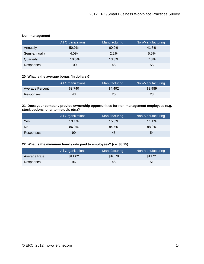#### **Non-management**

|               | <b>All Organizations</b> | Manufacturing | Non-Manufacturing |
|---------------|--------------------------|---------------|-------------------|
| Annually      | 50.0%                    | 60.0%         | 41.8%             |
| Semi-annually | 4.0%                     | 2.2%          | 5.5%              |
| Quarterly     | 10.0%                    | 13.3%         | 7.3%              |
| Responses     | 100                      | 45            | 55                |

#### **20. What is the average bonus (in dollars)?**

|                 | All Organizations | Manufacturing | Non-Manufacturing |
|-----------------|-------------------|---------------|-------------------|
| Average Percent | \$3.740           | \$4.492       | \$2,989           |
| Responses       | 43                | 20            | 23                |

#### **21. Does your company provide ownership opportunities for non-management employees (e.g. stock options, phantom stock, etc.)?**

|           | All Organizations | Manufacturing | Non-Manufacturing |
|-----------|-------------------|---------------|-------------------|
| Yes       | 13.1%             | 15.6%         | 11.1%             |
| No        | 86.9%             | 84.4%         | 88.9%             |
| Responses | 99                | 45            | 54                |

#### **22. What is the minimum hourly rate paid to employees? (i.e. \$8.75)**

|              | All Organizations | Manufacturing | Non-Manufacturing |
|--------------|-------------------|---------------|-------------------|
| Average Rate | \$11.02           | \$10.79       | \$11.21           |
| Responses    | 96                | 45            | 51                |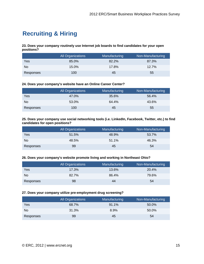## **Recruiting & Hiring**

**23. Does your company routinely use Internet job boards to find candidates for your open positions?** 

|           | All Organizations | Manufacturing | Non-Manufacturing |
|-----------|-------------------|---------------|-------------------|
| Yes       | 85.0%             | 82.2%         | 87.3%             |
| No.       | 15.0%             | 17.8%         | 12.7%             |
| Responses | 100               | 45            | 55                |

#### **24. Does your company's website have an Online Career Center?**

|           | All Organizations | Manufacturing | Non-Manufacturing |
|-----------|-------------------|---------------|-------------------|
| Yes       | 47.0%             | 35.6%         | 56.4%             |
| No.       | 53.0%             | 64.4%         | 43.6%             |
| Responses | 100               | 45            | 55                |

#### **25. Does your company use social networking tools (i.e. LinkedIn, Facebook, Twitter, etc.) to find candidates for open positions?**

|                | <b>All Organizations</b> | Manufacturing | Non-Manufacturing |
|----------------|--------------------------|---------------|-------------------|
| Yes            | 51.5%                    | 48.9%         | 53.7%             |
| N <sub>0</sub> | 48.5%                    | 51.1%         | 46.3%             |
| Responses      | 99                       | 45            | 54                |

#### **26. Does your company's website promote living and working in Northeast Ohio?**

|           | All Organizations | Manufacturing | Non-Manufacturing |
|-----------|-------------------|---------------|-------------------|
| Yes       | 17.3%             | 13.6%         | 20.4%             |
| No        | 82.7%             | 86.4%         | 79.6%             |
| Responses | 98                | 44            | 54                |

#### **27. Does your company utilize pre-employment drug screening?**

|                | All Organizations | Manufacturing | Non-Manufacturing |
|----------------|-------------------|---------------|-------------------|
| Yes            | 68.7%             | 91.1%         | 50.0%             |
| N <sub>0</sub> | 31.3%             | 8.9%          | 50.0%             |
| Responses      | 99                | 45            | 54                |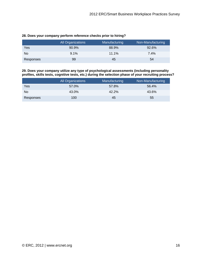|           | All Organizations | Manufacturing | Non-Manufacturing |
|-----------|-------------------|---------------|-------------------|
| Yes       | 90.9%             | 88.9%         | 92.6%             |
| No        | 9.1%              | 11.1%         | 7.4%              |
| Responses | 99                | 45            | 54                |

#### **28. Does your company perform reference checks prior to hiring?**

**29. Does your company utilize any type of psychological assessments (including personality profiles, skills tests, cognitive tests, etc.) during the selection phase of your recruiting process?** 

|                | <b>All Organizations</b> | Manufacturing | Non-Manufacturing |
|----------------|--------------------------|---------------|-------------------|
| Yes            | 57.0%                    | 57.8%         | 56.4%             |
| N <sub>0</sub> | 43.0%                    | 42.2%         | 43.6%             |
| Responses      | 100                      | 45            | 55                |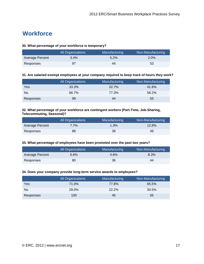## **Workforce**

#### **30. What percentage of your workforce is temporary?**

|                 | All Organizations | Manufacturing | Non-Manufacturing |
|-----------------|-------------------|---------------|-------------------|
| Average Percent | 3.4%              | 5.2%          | $2.0\%$           |
| Responses       | 97                | 44            | 53                |

#### **31. Are salaried exempt employees at your company required to keep track of hours they work?**

|           | <b>All Organizations</b> | Manufacturing | Non-Manufacturing |
|-----------|--------------------------|---------------|-------------------|
| Yes       | 33.3%                    | 22.7%         | 41.8%             |
| No.       | 66.7%                    | 77.3%         | 58.2%             |
| Responses | 99                       | 44            | 55                |

#### **32. What percentage of your workforce are contingent workers (Part-Time, Job-Sharing, Telecommuting, Seasonal)?**

|                 | <b>All Organizations</b> | Manufacturing | Non-Manufacturing |
|-----------------|--------------------------|---------------|-------------------|
| Average Percent | 7.7%                     | 1.3%          | 12.8%             |
| Responses       | 88                       | 39            | 49                |

#### **33. What percentage of employees have been promoted over the past two years?**

|                 | All Organizations | Manufacturing | Non-Manufacturing |
|-----------------|-------------------|---------------|-------------------|
| Average Percent | 6.6%              | 4.6%          | $8.3\%$           |
| Responses       | 80                | 36            | 44                |

#### **34. Does your company provide long-term service awards to employees?**

|                | All Organizations | Manufacturing | Non-Manufacturing |
|----------------|-------------------|---------------|-------------------|
| Yes            | 71.0%             | 77.8%         | 65.5%             |
| N <sub>0</sub> | 29.0%             | 22.2%         | 34.5%             |
| Responses      | 100               | 45            | 55                |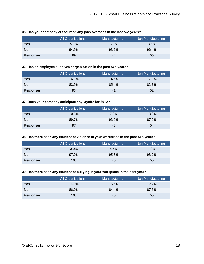|           | <b>All Organizations</b> | Manufacturing | Non-Manufacturing |
|-----------|--------------------------|---------------|-------------------|
| Yes       | 5.1%                     | 6.8%          | $3.6\%$           |
| No        | 94.9%                    | 93.2%         | 96.4%             |
| Responses | 99                       | 44            | 55                |

#### **35. Has your company outsourced any jobs overseas in the last two years?**

#### **36. Has an employee sued your organization in the past two years?**

|           | <b>All Organizations</b> | Manufacturing | Non-Manufacturing |
|-----------|--------------------------|---------------|-------------------|
| Yes       | 16.1%                    | 14.6%         | 17.3%             |
| <b>No</b> | 83.9%                    | 85.4%         | 82.7%             |
| Responses | 93                       | 41            | 52                |

#### **37. Does your company anticipate any layoffs for 2012?**

|           | <b>All Organizations</b> | Manufacturing | Non-Manufacturing |
|-----------|--------------------------|---------------|-------------------|
| Yes       | 10.3%                    | $7.0\%$       | 13.0%             |
| No        | 89.7%                    | 93.0%         | 87.0%             |
| Responses | 97                       | 43            | 54                |

#### **38. Has there been any incident of violence in your workplace in the past two years?**

|           | <b>All Organizations</b> | Manufacturing | Non-Manufacturing |
|-----------|--------------------------|---------------|-------------------|
| Yes       | 3.0%                     | 4.4%          | $1.8\%$           |
| No.       | 97.0%                    | 95.6%         | 98.2%             |
| Responses | 100                      | 45            | 55                |

#### **39. Has there been any incident of bullying in your workplace in the past year?**

|           | All Organizations | Manufacturing | Non-Manufacturing |
|-----------|-------------------|---------------|-------------------|
| Yes       | 14.0%             | 15.6%         | 12.7%             |
| No        | 86.0%             | 84.4%         | 87.3%             |
| Responses | 100               | 45            | 55                |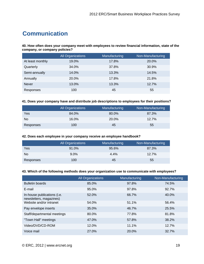## **Communication**

**40. How often does your company meet with employees to review financial information, state of the company, or company policies?** 

|                  | All Organizations | Manufacturing | Non-Manufacturing |
|------------------|-------------------|---------------|-------------------|
| At least monthly | 19.0%             | 17.8%         | 20.0%             |
| Quarterly        | 34.0%             | 37.8%         | 30.9%             |
| Semi-annually    | 14.0%             | 13.3%         | 14.5%             |
| Annually         | 20.0%             | 17.8%         | 21.8%             |
| <b>Never</b>     | 13.0%             | 13.3%         | 12.7%             |
| Responses        | 100               | 45            | 55                |

#### **41. Does your company have and distribute job descriptions to employees for their positions?**

|           | All Organizations | Manufacturing | Non-Manufacturing |
|-----------|-------------------|---------------|-------------------|
| Yes       | 84.0%             | 80.0%         | 87.3%             |
| No        | 16.0%             | 20.0%         | 12.7%             |
| Responses | 100               | 45            | 55                |

#### **42. Does each employee in your company receive an employee handbook?**

|           | All Organizations | Manufacturing | Non-Manufacturing |
|-----------|-------------------|---------------|-------------------|
| Yes       | 91.0%             | 95.6%         | 87.3%             |
| No        | $9.0\%$           | 4.4%          | 12.7%             |
| Responses | 100               | 45            | 55                |

#### **43. Which of the following methods does your organization use to communicate with employees?**

|                                                        | <b>All Organizations</b> | Manufacturing | Non-Manufacturing |
|--------------------------------------------------------|--------------------------|---------------|-------------------|
| <b>Bulletin boards</b>                                 | 85.0%                    | 97.8%         | 74.5%             |
| E-mail                                                 | 95.0%                    | 97.8%         | 92.7%             |
| In-house publications (i.e.<br>newsletters, magazines) | 52.0%                    | 66.7%         | 40.0%             |
| Website and/or intranet                                | 54.0%                    | 51.1%         | 56.4%             |
| Pay envelope inserts                                   | 35.0%                    | 46.7%         | 25.5%             |
| Staff/departmental meetings                            | 80.0%                    | 77.8%         | 81.8%             |
| "Town Hall" meetings                                   | 47.0%                    | 57.8%         | 38.2%             |
| Video/DVD/CD-ROM                                       | 12.0%                    | 11.1%         | 12.7%             |
| Voice mail                                             | 27.0%                    | 20.0%         | 32.7%             |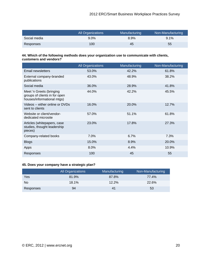|              | All Organizations | Manufacturing | Non-Manufacturing |
|--------------|-------------------|---------------|-------------------|
| Social media | $9.0\%$           | 8.9%          | $9.1\%$           |
| Responses    | 100               | 45            | 55                |

#### **44. Which of the following methods does your organization use to communicate with clients, customers and vendors?**

|                                                                                         | <b>All Organizations</b> | Manufacturing | Non-Manufacturing |
|-----------------------------------------------------------------------------------------|--------------------------|---------------|-------------------|
| <b>Email newsletters</b>                                                                | 53.0%                    | 42.2%         | 61.8%             |
| External company-branded<br>publications                                                | 43.0%                    | 48.9%         | 38.2%             |
| Social media                                                                            | 36.0%                    | 28.9%         | 41.8%             |
| Meet 'n Greets (bringing<br>groups of clients in for open<br>houses/informational mtgs) | 44.0%                    | 42.2%         | 45.5%             |
| Videos -- either online or DVDs<br>sent to clients                                      | 16.0%                    | 20.0%         | 12.7%             |
| Website or client/vendor-<br>dedicated microsite                                        | 57.0%                    | 51.1%         | 61.8%             |
| Articles (whitepapers, case<br>studies, thought leadership<br>pieces)                   | 23.0%                    | 17.8%         | 27.3%             |
| Company-related books                                                                   | $7.0\%$                  | 6.7%          | 7.3%              |
| <b>Blogs</b>                                                                            | 15.0%                    | 8.9%          | 20.0%             |
| Apps                                                                                    | $8.0\%$                  | 4.4%          | 10.9%             |
| Responses                                                                               | 100                      | 45            | 55                |

#### **45. Does your company have a strategic plan?**

|           | All Organizations | Manufacturing | Non-Manufacturing |
|-----------|-------------------|---------------|-------------------|
| Yes       | 81.9%             | 87.8%         | 77.4%             |
| No.       | 18.1%             | 12.2%         | 22.6%             |
| Responses | 94                | 41            | 53                |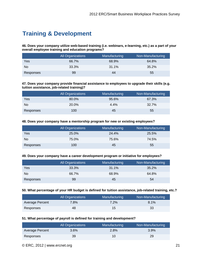## **Training & Development**

**46. Does your company utilize web-based training (i.e. webinars, e-learning, etc.) as a part of your overall employee training and education programs?** 

|           | <b>All Organizations</b> | Manufacturing | Non-Manufacturing |
|-----------|--------------------------|---------------|-------------------|
| Yes       | 66.7%                    | 68.9%         | 64.8%             |
| No        | 33.3%                    | 31.1%         | 35.2%             |
| Responses | 99                       | 44            | 55                |

**47. Does your company provide financial assistance to employees to upgrade their skills (e.g. tuition assistance, job-related training)?** 

|                | <b>All Organizations</b> | Manufacturing | Non-Manufacturing |
|----------------|--------------------------|---------------|-------------------|
| Yes            | 80.0%                    | 95.6%         | 67.3%             |
| N <sub>0</sub> | 20.0%                    | 4.4%          | 32.7%             |
| Responses      | 100                      | 45            | 55                |

#### **48. Does your company have a mentorship program for new or existing employees?**

|           | <b>All Organizations</b> | Manufacturing | Non-Manufacturing |
|-----------|--------------------------|---------------|-------------------|
| Yes       | 25.0%                    | 24.4%         | 25.5%             |
| No        | 75.0%                    | 75.6%         | 74.5%             |
| Responses | 100                      | 45            | 55                |

#### **49. Does your company have a career development program or initiative for employees?**

|           | All Organizations | Manufacturing | Non-Manufacturing |
|-----------|-------------------|---------------|-------------------|
| Yes       | 33.3%             | 31.1%         | 35.2%             |
| No.       | 66.7%             | 68.9%         | 64.8%             |
| Responses | 99                | 45            | 54                |

#### **50. What percentage of your HR budget is defined for tuition assistance, job-related training, etc.?**

|                 | <b>All Organizations</b> | Manufacturing | Non-Manufacturing |
|-----------------|--------------------------|---------------|-------------------|
| Average Percent | 7.8%                     | $7.2\%$       | 8.1%              |
| Responses       | 48                       | 15            | 33                |

#### **51. What percentage of payroll is defined for training and development?**

|                 | All Organizations | Manufacturing | Non-Manufacturing |
|-----------------|-------------------|---------------|-------------------|
| Average Percent | $3.6\%$           | 2.8%          | 3.9%              |
| Responses       | 39                | 10            | 29                |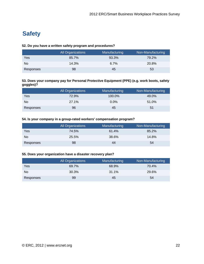## **Safety**

#### **52. Do you have a written safety program and procedures?**

|           | All Organizations | Manufacturing | Non-Manufacturing |
|-----------|-------------------|---------------|-------------------|
| Yes       | 85.7%             | 93.3%         | 79.2%             |
| No        | 14.3%             | 6.7%          | 20.8%             |
| Responses | 98                | 45            | 53                |

#### **53. Does your company pay for Personal Protective Equipment (PPE) (e.g. work boots, safety goggles)?**

|           | All Organizations | Manufacturing | Non-Manufacturing |
|-----------|-------------------|---------------|-------------------|
| Yes       | 72.9%             | 100.0%        | 49.0%             |
| No        | 27.1%             | $0.0\%$       | 51.0%             |
| Responses | 96                | 45            | 51                |

#### **54. Is your company in a group-rated workers' compensation program?**

|           | All Organizations | Manufacturing | Non-Manufacturing |
|-----------|-------------------|---------------|-------------------|
| Yes       | 74.5%             | 61.4%         | 85.2%             |
| No        | 25.5%             | 38.6%         | 14.8%             |
| Responses | 98                | 44            | 54                |

#### **55. Does your organization have a disaster recovery plan?**

|                | <b>All Organizations</b> | Manufacturing | Non-Manufacturing |
|----------------|--------------------------|---------------|-------------------|
| Yes            | 69.7%                    | 68.9%         | 70.4%             |
| N <sub>0</sub> | 30.3%                    | $31.1\%$      | 29.6%             |
| Responses      | 99                       | 45            | 54                |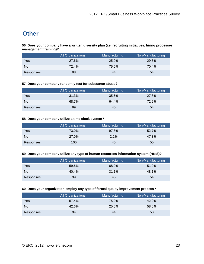## **Other**

**56. Does your company have a written diversity plan (i.e. recruiting initiatives, hiring processes, management training)?** 

|           | All Organizations | Manufacturing | Non-Manufacturing |
|-----------|-------------------|---------------|-------------------|
| Yes       | 27.6%             | 25.0%         | 29.6%             |
| No.       | 72.4%             | 75.0%         | 70.4%             |
| Responses | 98                | 44            | 54                |

#### **57. Does your company randomly test for substance abuse?**

|           | All Organizations | Manufacturing | Non-Manufacturing |
|-----------|-------------------|---------------|-------------------|
| Yes       | 31.3%             | 35.6%         | 27.8%             |
| No        | 68.7%             | 64.4%         | 72.2%             |
| Responses | 99                | 45            | 54                |

#### **58. Does your company utilize a time clock system?**

|           | <b>All Organizations</b> | Manufacturing | Non-Manufacturing |
|-----------|--------------------------|---------------|-------------------|
| Yes       | 73.0%                    | 97.8%         | 52.7%             |
| No        | 27.0%                    | 2.2%          | 47.3%             |
| Responses | 100                      | 45            | 55                |

#### **59. Does your company utilize any type of human resources information system (HRIS)?**

|           | <b>All Organizations</b> | Manufacturing | Non-Manufacturing |
|-----------|--------------------------|---------------|-------------------|
| Yes       | 59.6%                    | 68.9%         | 51.9%             |
| No        | 40.4%                    | 31.1%         | 48.1%             |
| Responses | 99                       | 45            | 54                |

#### **60. Does your organization employ any type of formal quality improvement process?**

|           | All Organizations | Manufacturing | Non-Manufacturing |
|-----------|-------------------|---------------|-------------------|
| Yes       | 57.4%             | 75.0%         | 42.0%             |
| No.       | 42.6%             | 25.0%         | 58.0%             |
| Responses | 94                | 44            | 50                |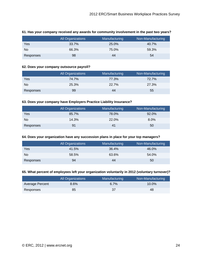|           | All Organizations | Manufacturing | Non-Manufacturing |
|-----------|-------------------|---------------|-------------------|
| Yes       | 33.7%             | 25.0%         | 40.7%             |
| No        | 66.3%             | 75.0%         | 59.3%             |
| Responses | 98                | 44            | 54                |

#### **61. Has your company received any awards for community involvement in the past two years?**

#### **62. Does your company outsource payroll?**

|           | All Organizations | Manufacturing | Non-Manufacturing |
|-----------|-------------------|---------------|-------------------|
| Yes       | 74.7%             | 77.3%         | 72.7%             |
| No        | 25.3%             | 22.7%         | 27.3%             |
| Responses | 99                | 44            | 55                |

#### **63. Does your company have Employers Practice Liability Insurance?**

|           | <b>All Organizations</b> | Manufacturing | Non-Manufacturing |
|-----------|--------------------------|---------------|-------------------|
| Yes       | 85.7%                    | 78.0%         | 92.0%             |
| No        | 14.3%                    | 22.0%         | 8.0%              |
| Responses | 91                       | 41            | 50                |

#### **64. Does your organization have any succession plans in place for your top managers?**

|           | All Organizations | Manufacturing | Non-Manufacturing |
|-----------|-------------------|---------------|-------------------|
| Yes       | 41.5%             | 36.4%         | 46.0%             |
| No.       | 58.5%             | 63.6%         | 54.0%             |
| Responses | 94                | 44            | 50                |

#### **65. What percent of employees left your organization voluntarily in 2012 (voluntary turnover)?**

|                 | <b>All Organizations</b> | Manufacturing | Non-Manufacturing |
|-----------------|--------------------------|---------------|-------------------|
| Average Percent | 8.6%                     | 6.7%          | $10.0\%$          |
| Responses       | 85                       | 37            | 48                |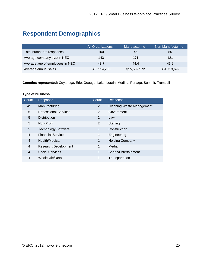## **Respondent Demographics**

|                                 | All Organizations | Manufacturing | Non-Manufacturing |
|---------------------------------|-------------------|---------------|-------------------|
| Total number of responses       | 100               | 45            | 55                |
| Average company size in NEO     | 143               | 171           | 121               |
| Average age of employees in NEO | 43.7              | 44.4          | 43.2              |
| Average annual sales            | \$58,514,233      | \$55,502,972  | \$61,713,699      |

**Counties represented:** Cuyahoga, Erie, Geauga, Lake, Lorain, Medina, Portage, Summit, Trumbull

#### **Type of business**

| Count          | Response                     | Count | Response                  |
|----------------|------------------------------|-------|---------------------------|
| 45             | Manufacturing                | 2     | Cleaning/Waste Management |
| 6              | <b>Professional Services</b> | 2     | Government                |
| 5              | <b>Distribution</b>          | 2     | Law                       |
| 5              | Non-Profit                   | 2     | Staffing                  |
| 5              | Technology/Software          | 1     | Construction              |
| $\overline{4}$ | <b>Financial Services</b>    | 1     | Engineering               |
| 4              | Health/Medical               | 1     | <b>Holding Company</b>    |
| 4              | Research/Development         | 1     | Media                     |
| 4              | <b>Social Services</b>       | 1     | Sports/Entertainment      |
| 4              | Wholesale/Retail             | 1     | Transportation            |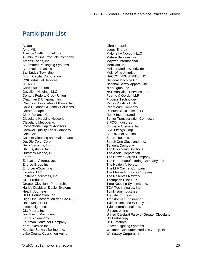## **Participant List**

Aclara Akro-Mils Alliance Staffing Solutions Aluminum Line Products Company Athens Foods, Inc. Automated Packaging Systems Automation Plastics Bainbridge Township Bruml Capital Corporation C&K Industrial Services C.TRAC CareerBoard.com Cavaliers Holdings LLC Century Federal Credit Union Chapman & Chapman, Inc. Chemical Associates of Illinois, Inc. Child Guidance & Family Solutions ChromaScape, Inc. Clark-Reliance Corp. Cleveland Housing Network Cleveland Metroparks Cornerstone Capital Advisors Cornwell Quality Tools Company Cres Cor Custom Cleaning and Maintenance DayGlo Color Corp. Delta Systems, Inc. DRB Systems, Inc. Duramax Marine, LLC Eaton Education Alternatives Enerco Group Inc Enforcer eCoaching Excelas, LLC Fastener Industries, Inc. GLT Products Greater Cleveland Partnership Harley-Davidson Dealer Systems Health Journeys HELP Foundation, Inc. High Line Corporation dba CASNET Hose Master LLC InterDesign, Inc. J.L. Moore, Inc. Joy Mining Machinery Kappus Company Kaufman Container Company Kerr Lakeside Inc. Kobelco Stewart Bolling, Inc. Lake County Council on Aging

Libra Industries Logos Energy Maloney + Novotny LLC Mature Services, Inc. Mayfran International MedData, Inc. Meister Media Worldwide Multi-Wing America NACCO INDUSTRIES INC National Machine Co. National Safety Apparel, Inc. NineSigma, Inc NSL Analytical Services, Inc. Pearne & Gordon LLP Process Technology Radici Plastics USA Radix Wire Company Ricerca Biosciences, LLC Rotek Incorporated Senior Transportation Connection SIFCO Industries Software Answers, Inc. SSP Fittings Corp Stop'nGo of Medina Stride Tool, Inc. SupplyOne Cleveland, Inc. Tangent Company Tap Packaging Solutions The Ahola Corporation The Brewer-Garrett Company The H. P. Manufacturing Company, Inc. The Holden Arboretum The M F Cachat Company The Master Products Company The Reserves Network Thompson Hine LLP Time Keeping Systems, Inc. TOA Technologies, Inc. Tomlinson Industries Transfer Express Transformer Engineering Tylinter, Inc. dba W.S. Tyler Tylok International, Inc. Unicontrol, Inc. United Cerebral Palsy of Greater Cleveland US Endoscopy USG Interiors Vincent Lighting Systems Waxman Consumer Products Group, Inc. Whirlaway Corporation